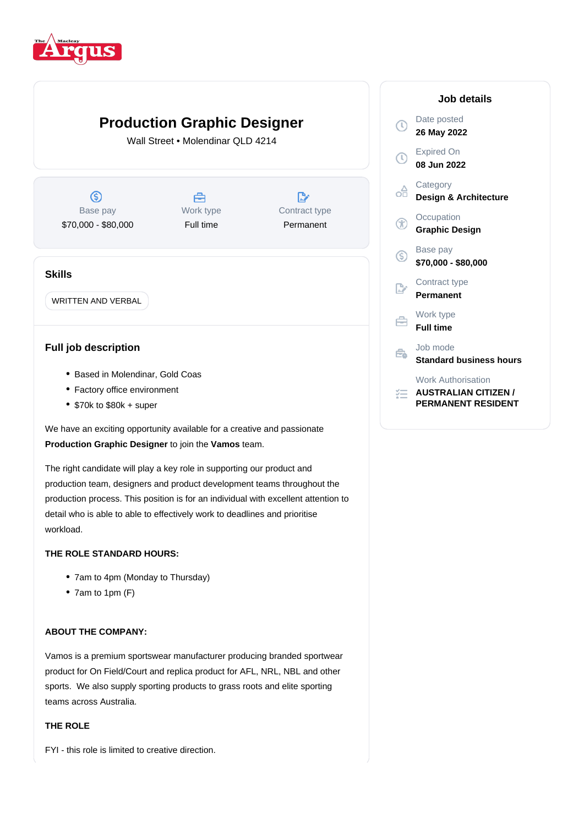

# **Production Graphic Designer**

Wall Street • Molendinar QLD 4214

 $\circledS$ 合 D, Base pay Work type Contract type \$70,000 - \$80,000 Full time Permanent

# **Skills**

WRITTEN AND VERBAL

# **Full job description**

- Based in Molendinar, Gold Coas
- Factory office environment
- \$70k to \$80k + super

We have an exciting opportunity available for a creative and passionate **Production Graphic Designer** to join the **Vamos** team.

The right candidate will play a key role in supporting our product and production team, designers and product development teams throughout the production process. This position is for an individual with excellent attention to detail who is able to able to effectively work to deadlines and prioritise workload.

## **THE ROLE STANDARD HOURS:**

- 7am to 4pm (Monday to Thursday)
- 7am to 1pm (F)

## **ABOUT THE COMPANY:**

Vamos is a premium sportswear manufacturer producing branded sportwear product for On Field/Court and replica product for AFL, NRL, NBL and other sports. We also supply sporting products to grass roots and elite sporting teams across Australia.

### **THE ROLE**

FYI - this role is limited to creative direction.

#### **Job details** Date posted  $\mathbb{C}$ **26 May 2022** Expired On  $\bigcap$ **08 Jun 2022 Category** oå **Design & Architecture Occupation** G **Graphic Design** Base pay  $\left($ **\$70,000 - \$80,000** Contract type D. **Permanent** Work type 户 **Full time** Job mode Êò. **Standard business hours** Work Authorisation *<del>E</del>* AUSTRALIAN CITIZEN /

**PERMANENT RESIDENT**